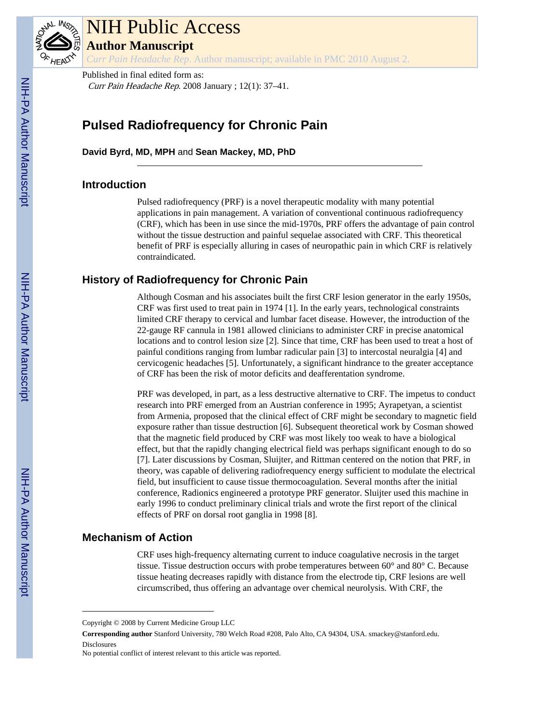

# NIH Public Access

**Author Manuscript**

*Curr Pain Headache Rep*. Author manuscript; available in PMC 2010 August 2.

Published in final edited form as: Curr Pain Headache Rep. 2008 January ; 12(1): 37–41.

# **Pulsed Radiofrequency for Chronic Pain**

**David Byrd, MD, MPH** and **Sean Mackey, MD, PhD**

# **Introduction**

Pulsed radiofrequency (PRF) is a novel therapeutic modality with many potential applications in pain management. A variation of conventional continuous radiofrequency (CRF), which has been in use since the mid-1970s, PRF offers the advantage of pain control without the tissue destruction and painful sequelae associated with CRF. This theoretical benefit of PRF is especially alluring in cases of neuropathic pain in which CRF is relatively contraindicated.

# **History of Radiofrequency for Chronic Pain**

Although Cosman and his associates built the first CRF lesion generator in the early 1950s, CRF was first used to treat pain in 1974 [1]. In the early years, technological constraints limited CRF therapy to cervical and lumbar facet disease. However, the introduction of the 22-gauge RF cannula in 1981 allowed clinicians to administer CRF in precise anatomical locations and to control lesion size [2]. Since that time, CRF has been used to treat a host of painful conditions ranging from lumbar radicular pain [3] to intercostal neuralgia [4] and cervicogenic headaches [5]. Unfortunately, a significant hindrance to the greater acceptance of CRF has been the risk of motor deficits and deafferentation syndrome.

PRF was developed, in part, as a less destructive alternative to CRF. The impetus to conduct research into PRF emerged from an Austrian conference in 1995; Ayrapetyan, a scientist from Armenia, proposed that the clinical effect of CRF might be secondary to magnetic field exposure rather than tissue destruction [6]. Subsequent theoretical work by Cosman showed that the magnetic field produced by CRF was most likely too weak to have a biological effect, but that the rapidly changing electrical field was perhaps significant enough to do so [7]. Later discussions by Cosman, Sluijter, and Rittman centered on the notion that PRF, in theory, was capable of delivering radiofrequency energy sufficient to modulate the electrical field, but insufficient to cause tissue thermocoagulation. Several months after the initial conference, Radionics engineered a prototype PRF generator. Sluijter used this machine in early 1996 to conduct preliminary clinical trials and wrote the first report of the clinical effects of PRF on dorsal root ganglia in 1998 [8].

# **Mechanism of Action**

CRF uses high-frequency alternating current to induce coagulative necrosis in the target tissue. Tissue destruction occurs with probe temperatures between 60° and 80° C. Because tissue heating decreases rapidly with distance from the electrode tip, CRF lesions are well circumscribed, thus offering an advantage over chemical neurolysis. With CRF, the

**Corresponding author** Stanford University, 780 Welch Road #208, Palo Alto, CA 94304, USA. smackey@stanford.edu. Disclosures

Copyright © 2008 by Current Medicine Group LLC

No potential conflict of interest relevant to this article was reported.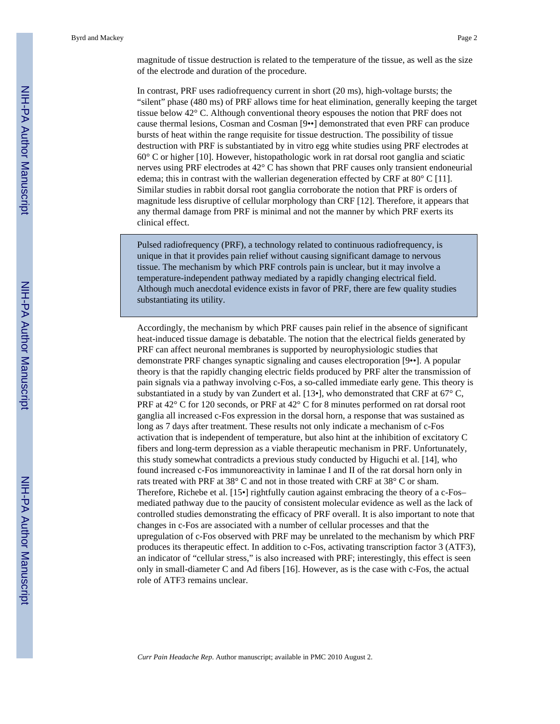magnitude of tissue destruction is related to the temperature of the tissue, as well as the size of the electrode and duration of the procedure.

In contrast, PRF uses radiofrequency current in short (20 ms), high-voltage bursts; the "silent" phase (480 ms) of PRF allows time for heat elimination, generally keeping the target tissue below 42° C. Although conventional theory espouses the notion that PRF does not cause thermal lesions, Cosman and Cosman [9••] demonstrated that even PRF can produce bursts of heat within the range requisite for tissue destruction. The possibility of tissue destruction with PRF is substantiated by in vitro egg white studies using PRF electrodes at 60° C or higher [10]. However, histopathologic work in rat dorsal root ganglia and sciatic nerves using PRF electrodes at 42° C has shown that PRF causes only transient endoneurial edema; this in contrast with the wallerian degeneration effected by CRF at  $80^{\circ}$  C [11]. Similar studies in rabbit dorsal root ganglia corroborate the notion that PRF is orders of magnitude less disruptive of cellular morphology than CRF [12]. Therefore, it appears that any thermal damage from PRF is minimal and not the manner by which PRF exerts its clinical effect.

Pulsed radiofrequency (PRF), a technology related to continuous radiofrequency, is unique in that it provides pain relief without causing significant damage to nervous tissue. The mechanism by which PRF controls pain is unclear, but it may involve a temperature-independent pathway mediated by a rapidly changing electrical field. Although much anecdotal evidence exists in favor of PRF, there are few quality studies substantiating its utility.

Accordingly, the mechanism by which PRF causes pain relief in the absence of significant heat-induced tissue damage is debatable. The notion that the electrical fields generated by PRF can affect neuronal membranes is supported by neurophysiologic studies that demonstrate PRF changes synaptic signaling and causes electroporation [9••]. A popular theory is that the rapidly changing electric fields produced by PRF alter the transmission of pain signals via a pathway involving c-Fos, a so-called immediate early gene. This theory is substantiated in a study by van Zundert et al. [13•], who demonstrated that CRF at  $67^{\circ}$  C, PRF at 42° C for 120 seconds, or PRF at 42° C for 8 minutes performed on rat dorsal root ganglia all increased c-Fos expression in the dorsal horn, a response that was sustained as long as 7 days after treatment. These results not only indicate a mechanism of c-Fos activation that is independent of temperature, but also hint at the inhibition of excitatory C fibers and long-term depression as a viable therapeutic mechanism in PRF. Unfortunately, this study somewhat contradicts a previous study conducted by Higuchi et al. [14], who found increased c-Fos immunoreactivity in laminae I and II of the rat dorsal horn only in rats treated with PRF at 38° C and not in those treated with CRF at 38° C or sham. Therefore, Richebe et al. [15•] rightfully caution against embracing the theory of a c-Fos– mediated pathway due to the paucity of consistent molecular evidence as well as the lack of controlled studies demonstrating the efficacy of PRF overall. It is also important to note that changes in c-Fos are associated with a number of cellular processes and that the upregulation of c-Fos observed with PRF may be unrelated to the mechanism by which PRF produces its therapeutic effect. In addition to c-Fos, activating transcription factor 3 (ATF3), an indicator of "cellular stress," is also increased with PRF; interestingly, this effect is seen only in small-diameter C and Ad fibers [16]. However, as is the case with c-Fos, the actual role of ATF3 remains unclear.

*Curr Pain Headache Rep*. Author manuscript; available in PMC 2010 August 2.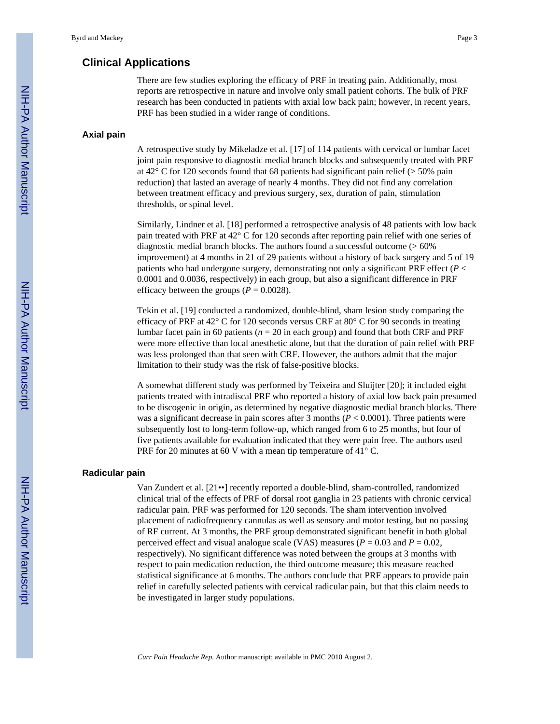### **Clinical Applications**

There are few studies exploring the efficacy of PRF in treating pain. Additionally, most reports are retrospective in nature and involve only small patient cohorts. The bulk of PRF research has been conducted in patients with axial low back pain; however, in recent years, PRF has been studied in a wider range of conditions.

#### **Axial pain**

A retrospective study by Mikeladze et al. [17] of 114 patients with cervical or lumbar facet joint pain responsive to diagnostic medial branch blocks and subsequently treated with PRF at  $42^{\circ}$  C for 120 seconds found that 68 patients had significant pain relief ( $> 50\%$  pain reduction) that lasted an average of nearly 4 months. They did not find any correlation between treatment efficacy and previous surgery, sex, duration of pain, stimulation thresholds, or spinal level.

Similarly, Lindner et al. [18] performed a retrospective analysis of 48 patients with low back pain treated with PRF at 42° C for 120 seconds after reporting pain relief with one series of diagnostic medial branch blocks. The authors found a successful outcome (> 60% improvement) at 4 months in 21 of 29 patients without a history of back surgery and 5 of 19 patients who had undergone surgery, demonstrating not only a significant PRF effect (*P* < 0.0001 and 0.0036, respectively) in each group, but also a significant difference in PRF efficacy between the groups ( $P = 0.0028$ ).

Tekin et al. [19] conducted a randomized, double-blind, sham lesion study comparing the efficacy of PRF at 42° C for 120 seconds versus CRF at 80° C for 90 seconds in treating lumbar facet pain in 60 patients (*n* = 20 in each group) and found that both CRF and PRF were more effective than local anesthetic alone, but that the duration of pain relief with PRF was less prolonged than that seen with CRF. However, the authors admit that the major limitation to their study was the risk of false-positive blocks.

A somewhat different study was performed by Teixeira and Sluijter [20]; it included eight patients treated with intradiscal PRF who reported a history of axial low back pain presumed to be discogenic in origin, as determined by negative diagnostic medial branch blocks. There was a significant decrease in pain scores after 3 months (*P* < 0.0001). Three patients were subsequently lost to long-term follow-up, which ranged from 6 to 25 months, but four of five patients available for evaluation indicated that they were pain free. The authors used PRF for 20 minutes at 60 V with a mean tip temperature of 41° C.

#### **Radicular pain**

Van Zundert et al. [21••] recently reported a double-blind, sham-controlled, randomized clinical trial of the effects of PRF of dorsal root ganglia in 23 patients with chronic cervical radicular pain. PRF was performed for 120 seconds. The sham intervention involved placement of radiofrequency cannulas as well as sensory and motor testing, but no passing of RF current. At 3 months, the PRF group demonstrated significant benefit in both global perceived effect and visual analogue scale (VAS) measures ( $P = 0.03$  and  $P = 0.02$ , respectively). No significant difference was noted between the groups at 3 months with respect to pain medication reduction, the third outcome measure; this measure reached statistical significance at 6 months. The authors conclude that PRF appears to provide pain relief in carefully selected patients with cervical radicular pain, but that this claim needs to be investigated in larger study populations.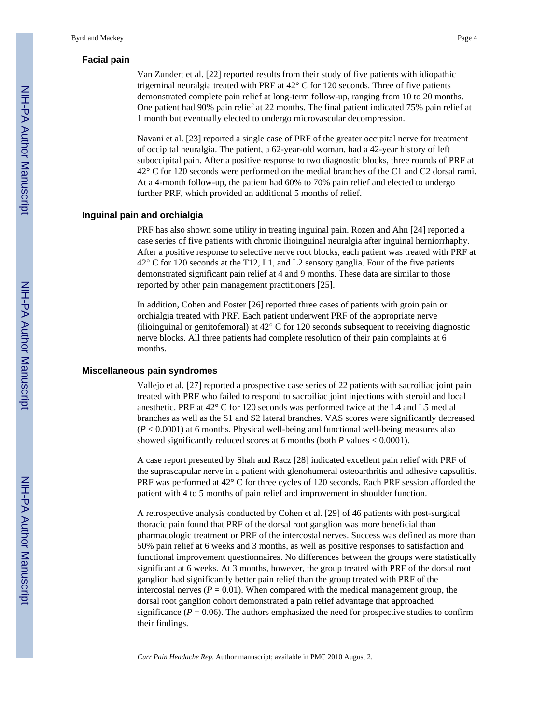#### **Facial pain**

Van Zundert et al. [22] reported results from their study of five patients with idiopathic trigeminal neuralgia treated with PRF at 42° C for 120 seconds. Three of five patients demonstrated complete pain relief at long-term follow-up, ranging from 10 to 20 months. One patient had 90% pain relief at 22 months. The final patient indicated 75% pain relief at 1 month but eventually elected to undergo microvascular decompression.

Navani et al. [23] reported a single case of PRF of the greater occipital nerve for treatment of occipital neuralgia. The patient, a 62-year-old woman, had a 42-year history of left suboccipital pain. After a positive response to two diagnostic blocks, three rounds of PRF at 42° C for 120 seconds were performed on the medial branches of the C1 and C2 dorsal rami. At a 4-month follow-up, the patient had 60% to 70% pain relief and elected to undergo further PRF, which provided an additional 5 months of relief.

#### **Inguinal pain and orchialgia**

PRF has also shown some utility in treating inguinal pain. Rozen and Ahn [24] reported a case series of five patients with chronic ilioinguinal neuralgia after inguinal herniorrhaphy. After a positive response to selective nerve root blocks, each patient was treated with PRF at 42° C for 120 seconds at the T12, L1, and L2 sensory ganglia. Four of the five patients demonstrated significant pain relief at 4 and 9 months. These data are similar to those reported by other pain management practitioners [25].

In addition, Cohen and Foster [26] reported three cases of patients with groin pain or orchialgia treated with PRF. Each patient underwent PRF of the appropriate nerve (ilioinguinal or genitofemoral) at 42° C for 120 seconds subsequent to receiving diagnostic nerve blocks. All three patients had complete resolution of their pain complaints at 6 months.

#### **Miscellaneous pain syndromes**

Vallejo et al. [27] reported a prospective case series of 22 patients with sacroiliac joint pain treated with PRF who failed to respond to sacroiliac joint injections with steroid and local anesthetic. PRF at 42° C for 120 seconds was performed twice at the L4 and L5 medial branches as well as the S1 and S2 lateral branches. VAS scores were significantly decreased (*P* < 0.0001) at 6 months. Physical well-being and functional well-being measures also showed significantly reduced scores at 6 months (both *P* values < 0.0001).

A case report presented by Shah and Racz [28] indicated excellent pain relief with PRF of the suprascapular nerve in a patient with glenohumeral osteoarthritis and adhesive capsulitis. PRF was performed at 42° C for three cycles of 120 seconds. Each PRF session afforded the patient with 4 to 5 months of pain relief and improvement in shoulder function.

A retrospective analysis conducted by Cohen et al. [29] of 46 patients with post-surgical thoracic pain found that PRF of the dorsal root ganglion was more beneficial than pharmacologic treatment or PRF of the intercostal nerves. Success was defined as more than 50% pain relief at 6 weeks and 3 months, as well as positive responses to satisfaction and functional improvement questionnaires. No differences between the groups were statistically significant at 6 weeks. At 3 months, however, the group treated with PRF of the dorsal root ganglion had significantly better pain relief than the group treated with PRF of the intercostal nerves ( $P = 0.01$ ). When compared with the medical management group, the dorsal root ganglion cohort demonstrated a pain relief advantage that approached significance  $(P = 0.06)$ . The authors emphasized the need for prospective studies to confirm their findings.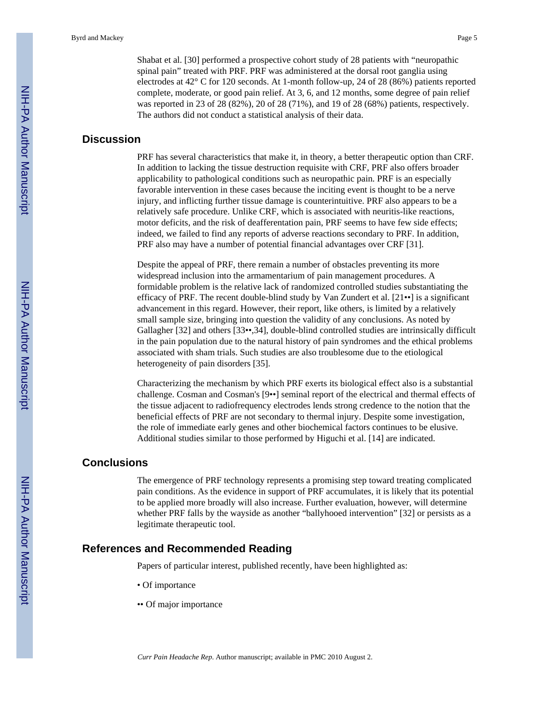Shabat et al. [30] performed a prospective cohort study of 28 patients with "neuropathic spinal pain" treated with PRF. PRF was administered at the dorsal root ganglia using electrodes at 42° C for 120 seconds. At 1-month follow-up, 24 of 28 (86%) patients reported complete, moderate, or good pain relief. At 3, 6, and 12 months, some degree of pain relief was reported in 23 of 28 (82%), 20 of 28 (71%), and 19 of 28 (68%) patients, respectively. The authors did not conduct a statistical analysis of their data.

## **Discussion**

PRF has several characteristics that make it, in theory, a better therapeutic option than CRF. In addition to lacking the tissue destruction requisite with CRF, PRF also offers broader applicability to pathological conditions such as neuropathic pain. PRF is an especially favorable intervention in these cases because the inciting event is thought to be a nerve injury, and inflicting further tissue damage is counterintuitive. PRF also appears to be a relatively safe procedure. Unlike CRF, which is associated with neuritis-like reactions, motor deficits, and the risk of deafferentation pain, PRF seems to have few side effects; indeed, we failed to find any reports of adverse reactions secondary to PRF. In addition, PRF also may have a number of potential financial advantages over CRF [31].

Despite the appeal of PRF, there remain a number of obstacles preventing its more widespread inclusion into the armamentarium of pain management procedures. A formidable problem is the relative lack of randomized controlled studies substantiating the efficacy of PRF. The recent double-blind study by Van Zundert et al. [21••] is a significant advancement in this regard. However, their report, like others, is limited by a relatively small sample size, bringing into question the validity of any conclusions. As noted by Gallagher [32] and others [33••,34], double-blind controlled studies are intrinsically difficult in the pain population due to the natural history of pain syndromes and the ethical problems associated with sham trials. Such studies are also troublesome due to the etiological heterogeneity of pain disorders [35].

Characterizing the mechanism by which PRF exerts its biological effect also is a substantial challenge. Cosman and Cosman's [9••] seminal report of the electrical and thermal effects of the tissue adjacent to radiofrequency electrodes lends strong credence to the notion that the beneficial effects of PRF are not secondary to thermal injury. Despite some investigation, the role of immediate early genes and other biochemical factors continues to be elusive. Additional studies similar to those performed by Higuchi et al. [14] are indicated.

#### **Conclusions**

The emergence of PRF technology represents a promising step toward treating complicated pain conditions. As the evidence in support of PRF accumulates, it is likely that its potential to be applied more broadly will also increase. Further evaluation, however, will determine whether PRF falls by the wayside as another "ballyhooed intervention" [32] or persists as a legitimate therapeutic tool.

#### **References and Recommended Reading**

Papers of particular interest, published recently, have been highlighted as:

- Of importance
- •• Of major importance

*Curr Pain Headache Rep*. Author manuscript; available in PMC 2010 August 2.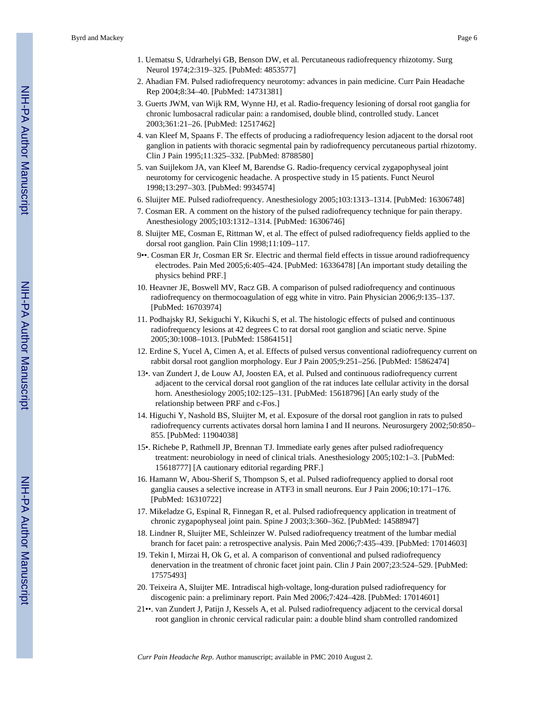- 1. Uematsu S, Udrarhelyi GB, Benson DW, et al. Percutaneous radiofrequency rhizotomy. Surg Neurol 1974;2:319–325. [PubMed: 4853577]
- 2. Ahadian FM. Pulsed radiofrequency neurotomy: advances in pain medicine. Curr Pain Headache Rep 2004;8:34–40. [PubMed: 14731381]
- 3. Guerts JWM, van Wijk RM, Wynne HJ, et al. Radio-frequency lesioning of dorsal root ganglia for chronic lumbosacral radicular pain: a randomised, double blind, controlled study. Lancet 2003;361:21–26. [PubMed: 12517462]
- 4. van Kleef M, Spaans F. The effects of producing a radiofrequency lesion adjacent to the dorsal root ganglion in patients with thoracic segmental pain by radiofrequency percutaneous partial rhizotomy. Clin J Pain 1995;11:325–332. [PubMed: 8788580]
- 5. van Suijlekom JA, van Kleef M, Barendse G. Radio-frequency cervical zygapophyseal joint neurotomy for cervicogenic headache. A prospective study in 15 patients. Funct Neurol 1998;13:297–303. [PubMed: 9934574]
- 6. Sluijter ME. Pulsed radiofrequency. Anesthesiology 2005;103:1313–1314. [PubMed: 16306748]
- 7. Cosman ER. A comment on the history of the pulsed radiofrequency technique for pain therapy. Anesthesiology 2005;103:1312–1314. [PubMed: 16306746]
- 8. Sluijter ME, Cosman E, Rittman W, et al. The effect of pulsed radiofrequency fields applied to the dorsal root ganglion. Pain Clin 1998;11:109–117.
- 9••. Cosman ER Jr, Cosman ER Sr. Electric and thermal field effects in tissue around radiofrequency electrodes. Pain Med 2005;6:405–424. [PubMed: 16336478] [An important study detailing the physics behind PRF.]
- 10. Heavner JE, Boswell MV, Racz GB. A comparison of pulsed radiofrequency and continuous radiofrequency on thermocoagulation of egg white in vitro. Pain Physician 2006;9:135–137. [PubMed: 16703974]
- 11. Podhajsky RJ, Sekiguchi Y, Kikuchi S, et al. The histologic effects of pulsed and continuous radiofrequency lesions at 42 degrees C to rat dorsal root ganglion and sciatic nerve. Spine 2005;30:1008–1013. [PubMed: 15864151]
- 12. Erdine S, Yucel A, Cimen A, et al. Effects of pulsed versus conventional radiofrequency current on rabbit dorsal root ganglion morphology. Eur J Pain 2005;9:251–256. [PubMed: 15862474]
- 13•. van Zundert J, de Louw AJ, Joosten EA, et al. Pulsed and continuous radiofrequency current adjacent to the cervical dorsal root ganglion of the rat induces late cellular activity in the dorsal horn. Anesthesiology 2005;102:125–131. [PubMed: 15618796] [An early study of the relationship between PRF and c-Fos.]
- 14. Higuchi Y, Nashold BS, Sluijter M, et al. Exposure of the dorsal root ganglion in rats to pulsed radiofrequency currents activates dorsal horn lamina I and II neurons. Neurosurgery 2002;50:850– 855. [PubMed: 11904038]
- 15•. Richebe P, Rathmell JP, Brennan TJ. Immediate early genes after pulsed radiofrequency treatment: neurobiology in need of clinical trials. Anesthesiology 2005;102:1–3. [PubMed: 15618777] [A cautionary editorial regarding PRF.]
- 16. Hamann W, Abou-Sherif S, Thompson S, et al. Pulsed radiofrequency applied to dorsal root ganglia causes a selective increase in ATF3 in small neurons. Eur J Pain 2006;10:171–176. [PubMed: 16310722]
- 17. Mikeladze G, Espinal R, Finnegan R, et al. Pulsed radiofrequency application in treatment of chronic zygapophyseal joint pain. Spine J 2003;3:360–362. [PubMed: 14588947]
- 18. Lindner R, Sluijter ME, Schleinzer W. Pulsed radiofrequency treatment of the lumbar medial branch for facet pain: a retrospective analysis. Pain Med 2006;7:435–439. [PubMed: 17014603]
- 19. Tekin I, Mirzai H, Ok G, et al. A comparison of conventional and pulsed radiofrequency denervation in the treatment of chronic facet joint pain. Clin J Pain 2007;23:524–529. [PubMed: 17575493]
- 20. Teixeira A, Sluijter ME. Intradiscal high-voltage, long-duration pulsed radiofrequency for discogenic pain: a preliminary report. Pain Med 2006;7:424–428. [PubMed: 17014601]
- 21••. van Zundert J, Patijn J, Kessels A, et al. Pulsed radiofrequency adjacent to the cervical dorsal root ganglion in chronic cervical radicular pain: a double blind sham controlled randomized

*Curr Pain Headache Rep*. Author manuscript; available in PMC 2010 August 2.